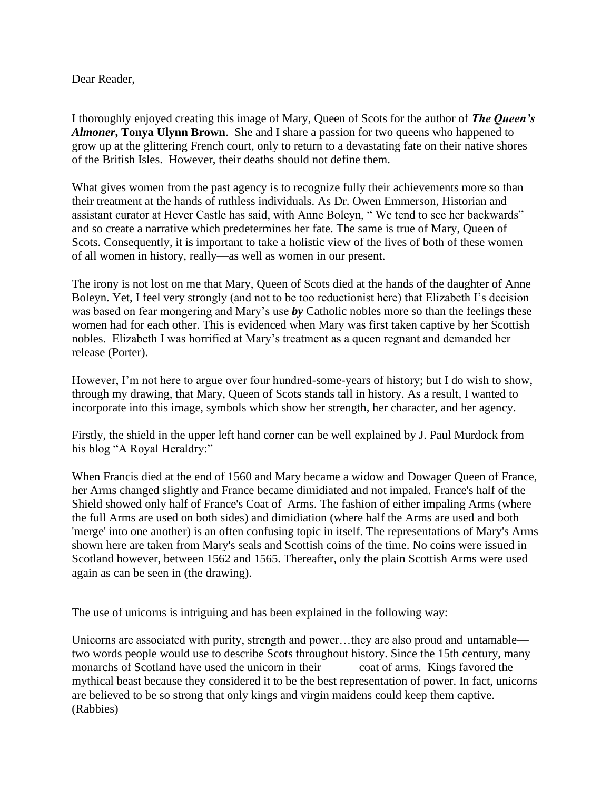## Dear Reader,

I thoroughly enjoyed creating this image of Mary, Queen of Scots for the author of *The Queen's Almoner***, Tonya Ulynn Brown**. She and I share a passion for two queens who happened to grow up at the glittering French court, only to return to a devastating fate on their native shores of the British Isles. However, their deaths should not define them.

What gives women from the past agency is to recognize fully their achievements more so than their treatment at the hands of ruthless individuals. As Dr. Owen Emmerson, Historian and assistant curator at Hever Castle has said, with Anne Boleyn, " We tend to see her backwards" and so create a narrative which predetermines her fate. The same is true of Mary, Queen of Scots. Consequently, it is important to take a holistic view of the lives of both of these women of all women in history, really—as well as women in our present.

The irony is not lost on me that Mary, Queen of Scots died at the hands of the daughter of Anne Boleyn. Yet, I feel very strongly (and not to be too reductionist here) that Elizabeth I's decision was based on fear mongering and Mary's use *by* Catholic nobles more so than the feelings these women had for each other. This is evidenced when Mary was first taken captive by her Scottish nobles. Elizabeth I was horrified at Mary's treatment as a queen regnant and demanded her release (Porter).

However, I'm not here to argue over four hundred-some-years of history; but I do wish to show, through my drawing, that Mary, Queen of Scots stands tall in history. As a result, I wanted to incorporate into this image, symbols which show her strength, her character, and her agency.

Firstly, the shield in the upper left hand corner can be well explained by J. Paul Murdock from his blog "A Royal Heraldry:"

When Francis died at the end of 1560 and Mary became a widow and Dowager Queen of France, her Arms changed slightly and France became dimidiated and not impaled. France's half of the Shield showed only half of France's Coat of Arms. The fashion of either impaling Arms (where the full Arms are used on both sides) and dimidiation (where half the Arms are used and both 'merge' into one another) is an often confusing topic in itself. The representations of Mary's Arms shown here are taken from Mary's seals and Scottish coins of the time. No coins were issued in Scotland however, between 1562 and 1565. Thereafter, only the plain Scottish Arms were used again as can be seen in (the drawing).

The use of unicorns is intriguing and has been explained in the following way:

Unicorns are associated with purity, strength and power…they are also proud and untamable two words people would use to describe Scots throughout history. Since the 15th century, many monarchs of Scotland have used the unicorn in their coat of arms. Kings favored the mythical beast because they considered it to be the best representation of power. In fact, unicorns are believed to be so strong that only kings and virgin maidens could keep them captive. (Rabbies)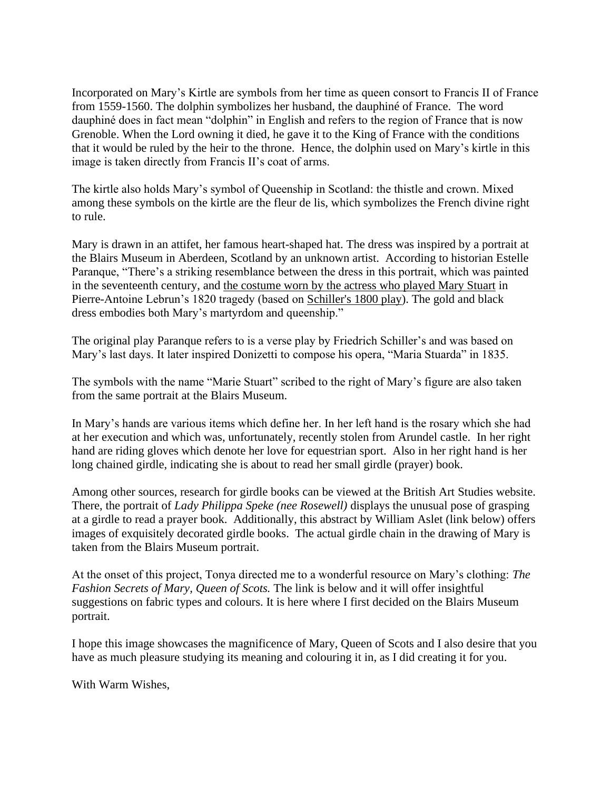Incorporated on Mary's Kirtle are symbols from her time as queen consort to Francis II of France from 1559-1560. The dolphin symbolizes her husband, the dauphiné of France. The word dauphiné does in fact mean "dolphin" in English and refers to the region of France that is now Grenoble. When the Lord owning it died, he gave it to the King of France with the conditions that it would be ruled by the heir to the throne. Hence, the dolphin used on Mary's kirtle in this image is taken directly from Francis II's coat of arms.

The kirtle also holds Mary's symbol of Queenship in Scotland: the thistle and crown. Mixed among these symbols on the kirtle are the fleur de lis, which symbolizes the French divine right to rule.

Mary is drawn in an attifet, her famous heart-shaped hat. The dress was inspired by a portrait at the Blairs Museum in Aberdeen, Scotland by an unknown artist. According to historian Estelle Paranque, "There's a striking resemblance between the dress in this portrait, which was painted in the seventeenth century, and [the costume worn by the actress who played Mary Stuart](https://gallica.bnf.fr/ark:/12148/btv1b90067010.r=mary%20stuart?rk=64378;0) in Pierre-Antoine Lebrun's 1820 tragedy (based on [Schiller's 1800 play\)](https://en.wikipedia.org/wiki/Mary_Stuart_(play)). The gold and black dress embodies both Mary's martyrdom and queenship."

The original play Paranque refers to is a verse play by Friedrich Schiller's and was based on Mary's last days. It later inspired Donizetti to compose his opera, "Maria Stuarda" in 1835.

The symbols with the name "Marie Stuart" scribed to the right of Mary's figure are also taken from the same portrait at the Blairs Museum.

In Mary's hands are various items which define her. In her left hand is the rosary which she had at her execution and which was, unfortunately, recently stolen from Arundel castle. In her right hand are riding gloves which denote her love for equestrian sport. Also in her right hand is her long chained girdle, indicating she is about to read her small girdle (prayer) book.

Among other sources, research for girdle books can be viewed at the British Art Studies website. There, the portrait of *Lady Philippa Speke (nee Rosewell)* displays the unusual pose of grasping at a girdle to read a prayer book. Additionally, this abstract by William Aslet (link below) offers images of exquisitely decorated girdle books. The actual girdle chain in the drawing of Mary is taken from the Blairs Museum portrait.

At the onset of this project, Tonya directed me to a wonderful resource on Mary's clothing: *The Fashion Secrets of Mary, Queen of Scots.* The link is below and it will offer insightful suggestions on fabric types and colours. It is here where I first decided on the Blairs Museum portrait.

I hope this image showcases the magnificence of Mary, Queen of Scots and I also desire that you have as much pleasure studying its meaning and colouring it in, as I did creating it for you.

With Warm Wishes,